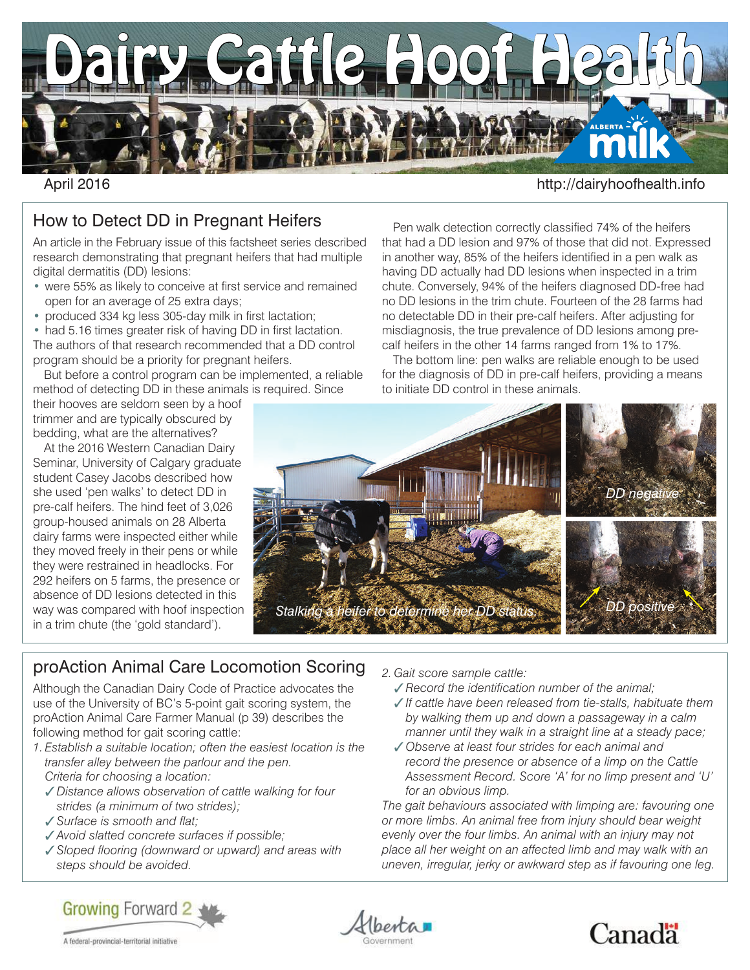

## April 2016 http://dairyhoofhealth.info

## How to Detect DD in Pregnant Heifers

An article in the February issue of this factsheet series described research demonstrating that pregnant heifers that had multiple digital dermatitis (DD) lesions:

- were 55% as likely to conceive at first service and remained open for an average of 25 extra days;
- produced 334 kg less 305-day milk in first lactation;

• had 5.16 times greater risk of having DD in first lactation. The authors of that research recommended that a DD control program should be a priority for pregnant heifers.

But before a control program can be implemented, a reliable method of detecting DD in these animals is required. Since

their hooves are seldom seen by a hoof trimmer and are typically obscured by bedding, what are the alternatives?

At the 2016 Western Canadian Dairy Seminar, University of Calgary graduate student Casey Jacobs described how she used 'pen walks' to detect DD in pre-calf heifers. The hind feet of 3,026 group-housed animals on 28 Alberta dairy farms were inspected either while they moved freely in their pens or while they were restrained in headlocks. For 292 heifers on 5 farms, the presence or absence of DD lesions detected in this way was compared with hoof inspection in a trim chute (the 'gold standard').

proAction Animal Care Locomotion Scoring

Although the Canadian Dairy Code of Practice advocates the use of the University of BC's 5-point gait scoring system, the proAction Animal Care Farmer Manual (p 39) describes the following method for gait scoring cattle:

- *1. Establish a suitable location; often the easiest location is the transfer alley between the parlour and the pen. Criteria for choosing a location:*
	- *Distance allows observation of cattle walking for four strides (a minimum of two strides);*
	- *Surface is smooth and flat;*

A federal-provincial-territorial initiative

- *Avoid slatted concrete surfaces if possible;*
- *Sloped flooring (downward or upward) and areas with steps should be avoided.*



Pen walk detection correctly classified 74% of the heifers that had a DD lesion and 97% of those that did not. Expressed in another way, 85% of the heifers identified in a pen walk as having DD actually had DD lesions when inspected in a trim chute. Conversely, 94% of the heifers diagnosed DD-free had no DD lesions in the trim chute. Fourteen of the 28 farms had no detectable DD in their pre-calf heifers. After adjusting for misdiagnosis, the true prevalence of DD lesions among precalf heifers in the other 14 farms ranged from 1% to 17%.

The bottom line: pen walks are reliable enough to be used for the diagnosis of DD in pre-calf heifers, providing a means to initiate DD control in these animals.



*2. Gait score sample cattle:*

- *Record the identification number of the animal;*
- *If cattle have been released from tie-stalls, habituate them by walking them up and down a passageway in a calm manner until they walk in a straight line at a steady pace;*
- *Observe at least four strides for each animal and record the presence or absence of a limp on the Cattle Assessment Record. Score 'A' for no limp present and 'U' for an obvious limp.*

*The gait behaviours associated with limping are: favouring one or more limbs. An animal free from injury should bear weight evenly over the four limbs. An animal with an injury may not place all her weight on an affected limb and may walk with an uneven, irregular, jerky or awkward step as if favouring one leg.*